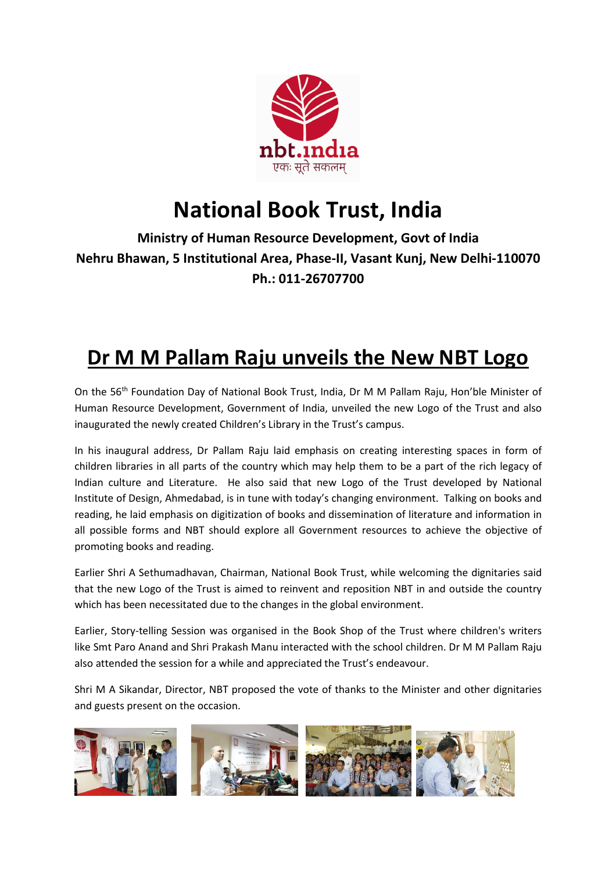

### National Book Trust, India

#### Ministry of Human Resource Development, Govt of India Nehru Bhawan, 5 Institutional Area, Phase-II, Vasant Kunj, New Delhi-110070 Ph.: 011-26707700

#### Dr M M Pallam Raju unveils the New NBT Logo

On the 56th Foundation Day of National Book Trust, India, Dr M M Pallam Raju, Hon'ble Minister of Human Resource Development, Government of India, unveiled the new Logo of the Trust and also inaugurated the newly created Children's Library in the Trust's campus.

In his inaugural address, Dr Pallam Raju laid emphasis on creating interesting spaces in form of children libraries in all parts of the country which may help them to be a part of the rich legacy of Indian culture and Literature. He also said that new Logo of the Trust developed by National Institute of Design, Ahmedabad, is in tune with today's changing environment. Talking on books and reading, he laid emphasis on digitization of books and dissemination of literature and information in all possible forms and NBT should explore all Government resources to achieve the objective of promoting books and reading.

Earlier Shri A Sethumadhavan, Chairman, National Book Trust, while welcoming the dignitaries said that the new Logo of the Trust is aimed to reinvent and reposition NBT in and outside the country which has been necessitated due to the changes in the global environment.

Earlier, Story-telling Session was organised in the Book Shop of the Trust where children's writers like Smt Paro Anand and Shri Prakash Manu interacted with the school children. Dr M M Pallam Raju also attended the session for a while and appreciated the Trust's endeavour.

Shri M A Sikandar, Director, NBT proposed the vote of thanks to the Minister and other dignitaries and guests present on the occasion.

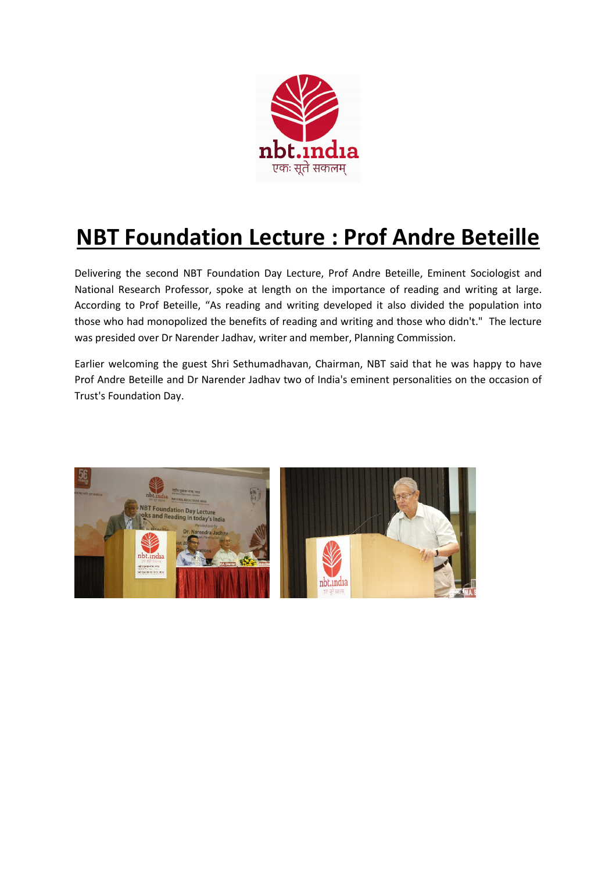

## NBT Foundation Lecture : Prof Andre Beteille

Delivering the second NBT Foundation Day Lecture, Prof Andre Beteille, Eminent Sociologist and National Research Professor, spoke at length on the importance of reading and writing at large. According to Prof Beteille, "As reading and writing developed it also divided the population into those who had monopolized the benefits of reading and writing and those who didn't." The lecture was presided over Dr Narender Jadhav, writer and member, Planning Commission.

Earlier welcoming the guest Shri Sethumadhavan, Chairman, NBT said that he was happy to have Prof Andre Beteille and Dr Narender Jadhav two of India's eminent personalities on the occasion of Trust's Foundation Day.

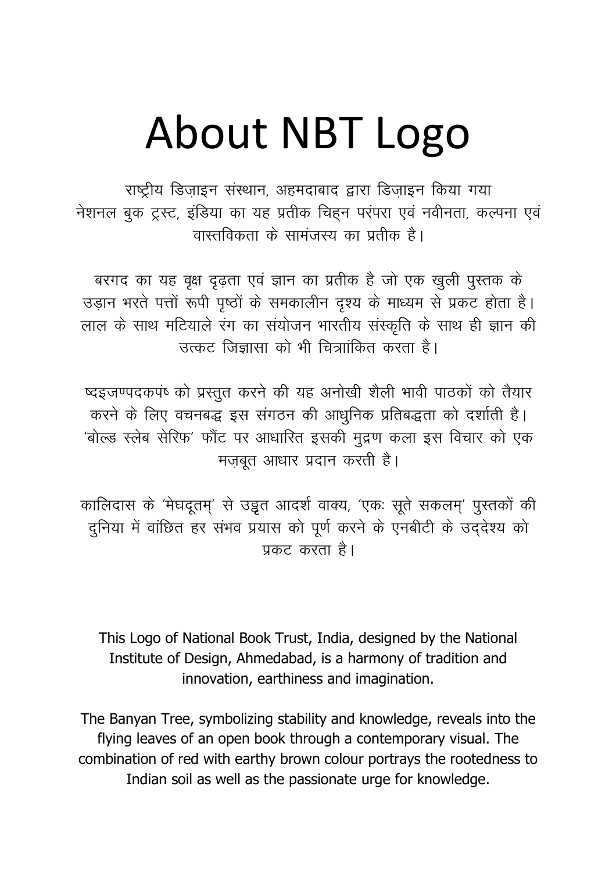# About NBT Logo

राष्ट्रीय डिजाइन संस्थान, अहमदाबाद द्वारा डिजाइन किया गया नेशनल बुक ट्रस्ट, इंडिया का यह प्रतीक चिहन परंपरा एवं नवीनता, कल्पना एवं वास्तविकता के सामंजस्य का प्रतीक है।

बरगद का यह वृक्ष दृढ़ता एवं ज्ञान का प्रतीक है जो एक खुली पुस्तक के उड़ान भरते पत्तों रूपी पृष्ठों के समकालीन दृश्य के माध्यम से प्रकट होता है। लाल के साथ मटियाले रंग का संयोजन भारतीय संस्कृति के साथ ही ज्ञान की उत्कट जिज्ञासा को भी चित्रांकित करता है।

ष्दइजण्पदकपष् को प्रस्तुत करने की यह अनोखी शैली भावी पाठकों को तैयार करने के लिए वचनबद्ध इस संगठन की आधुनिक प्रतिबद्धता को दर्शाती है। 'बोल्ड स्लेब सेरिफ' फौंट पर आधारित इसकी मुद्रण कला इस विचार को एक मज़बूत आधार प्रदान करती है।

कालिदास के 'मेघदूतम्' से उड्डत आदर्श वाक्य, 'एक: सूते सकलम्' पुस्तकों की दुनिया में वांछित हर संभव प्रयास को पूर्ण करने के एनबीटी के उद्देश्य को प्रकट करता है।

This Logo of National Book Trust, India, designed by the National Institute of Design, Ahmedabad, is a harmony of tradition and innovation, earthiness and imagination.

The Banyan Tree, symbolizing stability and knowledge, reveals into the flying leaves of an open book through a contemporary visual. The combination of red with earthy brown colour portrays the rootedness to Indian soil as well as the passionate urge for knowledge.